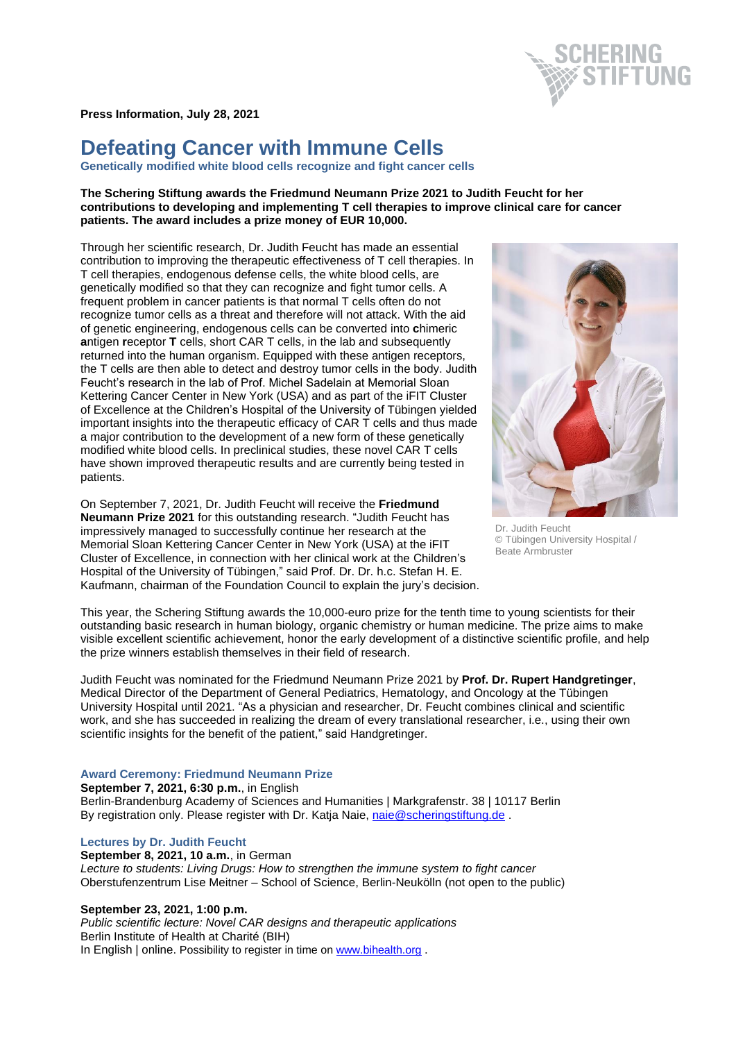**Press Information, July 28, 2021**

# **Defeating Cancer with Immune Cells**

**Genetically modified white blood cells recognize and fight cancer cells**

## **The Schering Stiftung awards the Friedmund Neumann Prize 2021 to Judith Feucht for her contributions to developing and implementing T cell therapies to improve clinical care for cancer patients. The award includes a prize money of EUR 10,000.**

Through her scientific research, Dr. Judith Feucht has made an essential contribution to improving the therapeutic effectiveness of T cell therapies. In T cell therapies, endogenous defense cells, the white blood cells, are genetically modified so that they can recognize and fight tumor cells. A frequent problem in cancer patients is that normal T cells often do not recognize tumor cells as a threat and therefore will not attack. With the aid of genetic engineering, endogenous cells can be converted into **c**himeric **a**ntigen **r**eceptor **T** cells, short CAR T cells, in the lab and subsequently returned into the human organism. Equipped with these antigen receptors, the T cells are then able to detect and destroy tumor cells in the body. Judith Feucht's research in the lab of Prof. Michel Sadelain at Memorial Sloan Kettering Cancer Center in New York (USA) and as part of the iFIT Cluster of Excellence at the Children's Hospital of the University of Tübingen yielded important insights into the therapeutic efficacy of CAR T cells and thus made a major contribution to the development of a new form of these genetically modified white blood cells. In preclinical studies, these novel CAR T cells have shown improved therapeutic results and are currently being tested in patients.

On September 7, 2021, Dr. Judith Feucht will receive the **Friedmund Neumann Prize 2021** for this outstanding research. "Judith Feucht has impressively managed to successfully continue her research at the Memorial Sloan Kettering Cancer Center in New York (USA) at the iFIT Cluster of Excellence, in connection with her clinical work at the Children's Hospital of the University of Tübingen," said Prof. Dr. Dr. h.c. Stefan H. E. Kaufmann, chairman of the Foundation Council to explain the jury's decision.



Dr. Judith Feucht © Tübingen University Hospital / Beate Armbruster

This year, the Schering Stiftung awards the 10,000-euro prize for the tenth time to young scientists for their outstanding basic research in human biology, organic chemistry or human medicine. The prize aims to make visible excellent scientific achievement, honor the early development of a distinctive scientific profile, and help the prize winners establish themselves in their field of research.

Judith Feucht was nominated for the Friedmund Neumann Prize 2021 by **Prof. Dr. Rupert Handgretinger**, Medical Director of the Department of General Pediatrics, Hematology, and Oncology at the Tübingen University Hospital until 2021. "As a physician and researcher, Dr. Feucht combines clinical and scientific work, and she has succeeded in realizing the dream of every translational researcher, i.e., using their own scientific insights for the benefit of the patient," said Handgretinger.

#### **Award Ceremony: Friedmund Neumann Prize**

**September 7, 2021, 6:30 p.m.**, in English Berlin-Brandenburg Academy of Sciences and Humanities | Markgrafenstr. 38 | 10117 Berlin By registration only. Please register with Dr. Katja Naie, [naie@scheringstiftung.de](mailto:naie@scheringstiftung.de) .

#### **Lectures by Dr. Judith Feucht**

**September 8, 2021, 10 a.m.**, in German *Lecture to students: Living Drugs: How to strengthen the immune system to fight cancer* Oberstufenzentrum Lise Meitner – School of Science, Berlin-Neukölln (not open to the public)

#### **September 23, 2021, 1:00 p.m.**

*Public scientific lecture: Novel CAR designs and therapeutic applications* Berlin Institute of Health at Charité (BIH) In English | online. Possibility to register in time on [www.bihealth.org](http://www.bihealth.org/).